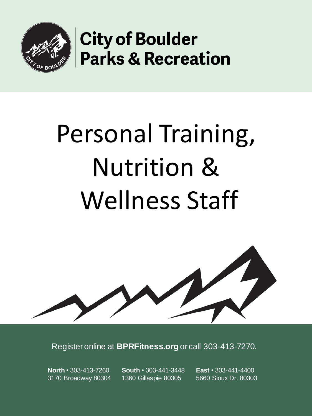

# Personal Training, Nutrition & Wellness Staff

Register online at **BPRFitness.org** or call 303-413-7270.

**North** • 303-413-7260 3170 Broadway 80304 **South** • 303-441-3448 1360 Gillaspie 80305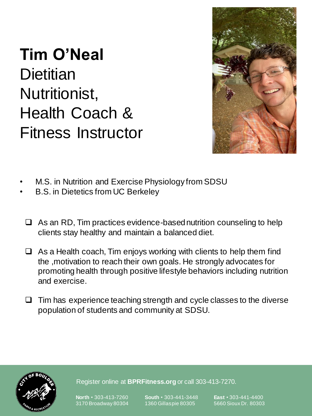#### **Tim O'Neal Dietitian** Nutritionist, Health Coach & Fitness Instructor



- M.S. in Nutrition and Exercise Physiology from SDSU
- B.S. in Dietetics from UC Berkeley
	- $\Box$  As an RD, Tim practices evidence-based nutrition counseling to help clients stay healthy and maintain a balanced diet.
	- $\Box$  As a Health coach, Tim enjoys working with clients to help them find the ,motivation to reach their own goals. He strongly advocates for promoting health through positive lifestyle behaviors including nutrition and exercise.
	- $\Box$  Tim has experience teaching strength and cycle classes to the diverse population of students and community at SDSU.



Register online at **BPRFitness.org** or call 303-413-7270.

**North** • 303-413-7260 3170 Broadway 80304

**South** • 303-441-3448 1360 Gillaspie 80305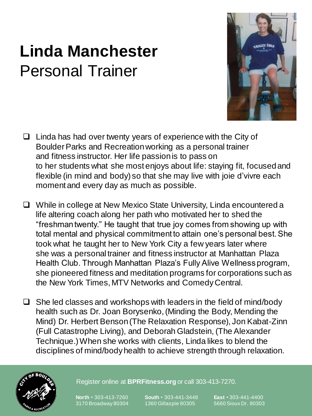# **Linda Manchester** Personal Trainer



- $\Box$  Linda has had over twenty years of experience with the City of Boulder Parks and Recreation working as a personal trainer and fitness instructor. Her life passion is to pass on to her students what she most enjoys about life: staying fit, focused and flexible (in mind and body) so that she may live with joie d'vivre each moment and every day as much as possible.
- ❑ While in college at New Mexico State University, Linda encountered a life altering coach along her path who motivated her to shed the "freshman twenty." He taught that true joy comes from showing up with total mental and physical commitment to attain one's personal best. She took what he taught her to New York City a few years later where she was a personal trainer and fitness instructor at Manhattan Plaza Health Club. Through Manhattan Plaza's Fully Alive Wellness program, she pioneered fitness and meditation programs for corporations such as the New York Times, MTV Networks and Comedy Central.
- $\Box$  She led classes and workshops with leaders in the field of mind/body health such as Dr. Joan Borysenko, (Minding the Body, Mending the Mind) Dr. Herbert Benson (The Relaxation Response), Jon Kabat-Zinn (Full Catastrophe Living), and Deborah Gladstein, (The Alexander Technique.) When she works with clients, Linda likes to blend the disciplines of mind/body health to achieve strength through relaxation.



Register online at **BPRFitness.org** or call 303-413-7270.

**North** • 303-413-7260 3170 Broadway 80304

**South** • 303-441-3448 1360 Gillaspie 80305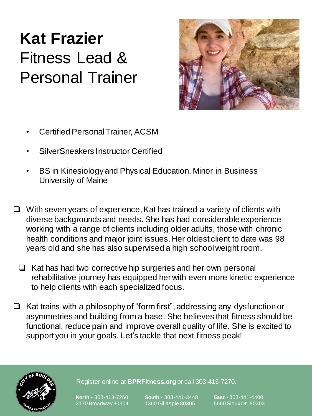# **Kat Frazier** Fitness Lead & Personal Trainer



- Certified Personal Trainer, ACSM
- SilverSneakers Instructor Certified
- BS in Kinesiology and Physical Education, Minor in Business University of Maine
- ❑ With seven years of experience, Kat has trained a variety of clients with diverse backgrounds and needs. She has had considerable experience working with a range of clients including older adults, those with chronic health conditions and major joint issues. Her oldest client to date was 98 years old and she has also supervised a high school weight room.
	- ❑ Kat has had two corrective hip surgeries and her own personal rehabilitative journey has equipped her with even more kinetic experience to help clients with each specialized focus.
- ❑ Kat trains with a philosophy of "form first", addressing any dysfunction or asymmetries and building from a base. She believes that fitness should be functional, reduce pain and improve overall quality of life. She is excited to support you in your goals. Let's tackle that next fitness peak!



Register online at **BPRFitness.org** or call 303-413-7270.

**North** • 303-413-7260 3170 Broadway 80304

**South** • 303-441-3448 1360 Gillaspie 80305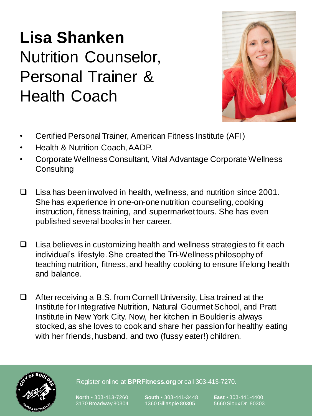# **Lisa Shanken** Nutrition Counselor, Personal Trainer & Health Coach



- Certified Personal Trainer, American Fitness Institute (AFI)
- Health & Nutrition Coach, AADP.
- Corporate Wellness Consultant, Vital Advantage Corporate Wellness **Consulting**
- ❑ Lisa has been involved in health, wellness, and nutrition since 2001. She has experience in one-on-one nutrition counseling, cooking instruction, fitness training, and supermarket tours. She has even published several books in her career.
- ❑ Lisa believes in customizing health and wellness strategies to fit each individual's lifestyle. She created the Tri-Wellness philosophy of teaching nutrition, fitness, and healthy cooking to ensure lifelong health and balance.
- ❑ After receiving a B.S. from Cornell University, Lisa trained at the Institute for Integrative Nutrition, Natural Gourmet School, and Pratt Institute in New York City. Now, her kitchen in Boulder is always stocked, as she loves to cook and share her passion for healthy eating with her friends, husband, and two (fussy eater!) children.



Register online at **BPRFitness.org** or call 303-413-7270.

**North** • 303-413-7260 3170 Broadway 80304 **South** • 303-441-3448 1360 Gillaspie 80305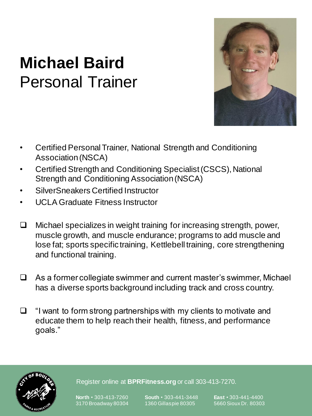

#### **Michael Baird** Personal Trainer

- Certified Personal Trainer, National Strength and Conditioning Association (NSCA)
- Certified Strength and Conditioning Specialist (CSCS), National Strength and Conditioning Association (NSCA)
- SilverSneakers Certified Instructor
- UCLA Graduate Fitness Instructor
- ❑ Michael specializes in weight training for increasing strength, power, muscle growth, and muscle endurance; programs to add muscle and lose fat; sports specific training, Kettlebell training, core strengthening and functional training.
- ❑ As a former collegiate swimmer and current master's swimmer, Michael has a diverse sports background including track and cross country.
- ❑ "I want to form strong partnerships with my clients to motivate and educate them to help reach their health, fitness, and performance goals."



Register online at **BPRFitness.org** or call 303-413-7270.

**North** • 303-413-7260 3170 Broadway 80304 **South** • 303-441-3448 1360 Gillaspie 80305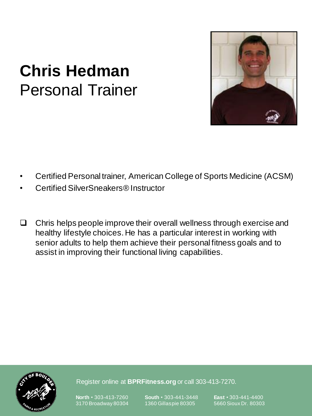

#### **Chris Hedman** Personal Trainer

- Certified Personal trainer, American College of Sports Medicine (ACSM)
- Certified SilverSneakers® Instructor
- ❑ Chris helps people improve their overall wellness through exercise and healthy lifestyle choices. He has a particular interest in working with senior adults to help them achieve their personal fitness goals and to assist in improving their functional living capabilities.



Register online at **BPRFitness.org** or call 303-413-7270.

**North** • 303-413-7260 3170 Broadway 80304

**South** • 303-441-3448 1360 Gillaspie 80305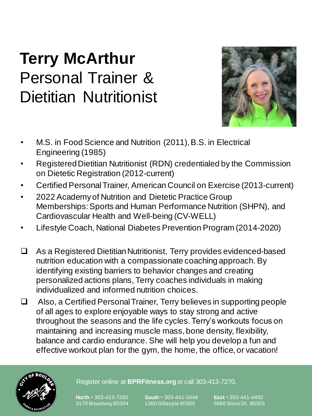# **Terry McArthur** Personal Trainer & Dietitian Nutritionist



- M.S. in Food Science and Nutrition (2011), B.S. in Electrical Engineering (1985)
- Registered Dietitian Nutritionist (RDN) credentialed by the Commission on Dietetic Registration (2012-current)
- Certified Personal Trainer, American Council on Exercise (2013-current)
- 2022 Academy of Nutrition and Dietetic Practice Group Memberships:Sports and Human Performance Nutrition (SHPN), and Cardiovascular Health and Well-being (CV-WELL)
- Lifestyle Coach, National Diabetes Prevention Program (2014-2020)
- ❑ As a Registered Dietitian Nutritionist, Terry provides evidenced-based nutrition education with a compassionate coaching approach. By identifying existing barriers to behavior changes and creating personalized actions plans, Terry coaches individuals in making individualized and informed nutrition choices.
- ❑ Also, a Certified Personal Trainer, Terry believes in supporting people of all ages to explore enjoyable ways to stay strong and active throughout the seasons and the life cycles.Terry's workouts focus on maintaining and increasing muscle mass, bone density, flexibility, balance and cardio endurance. She will help you develop a fun and effective workout plan for the gym, the home, the office, or vacation!



Register online at **BPRFitness.org** or call 303-413-7270.

**North** • 303-413-7260 3170 Broadway 80304

**South** • 303-441-3448 1360 Gillaspie 80305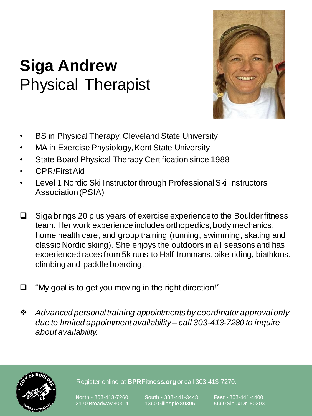# **Siga Andrew** Physical Therapist



- BS in Physical Therapy, Cleveland State University
- MA in Exercise Physiology, Kent State University
- State Board Physical Therapy Certification since 1988
- CPR/First Aid
- Level 1 Nordic Ski Instructor through Professional Ski Instructors Association (PSIA)
- ❑ Siga brings 20 plus years of exercise experience to the Boulder fitness team. Her work experience includes orthopedics, body mechanics, home health care, and group training (running, swimming, skating and classic Nordic skiing). She enjoys the outdoors in all seasons and has experienced races from 5k runs to Half Ironmans, bike riding, biathlons, climbing and paddle boarding.
- ❑ "My goal is to get you moving in the right direction!"
- ❖ *Advanced personal training appointments by coordinator approval only due to limited appointment availability – call 303-413-7280 to inquire about availability.*



Register online at **BPRFitness.org** or call 303-413-7270.

**North** • 303-413-7260 3170 Broadway 80304

**South** • 303-441-3448 1360 Gillaspie 80305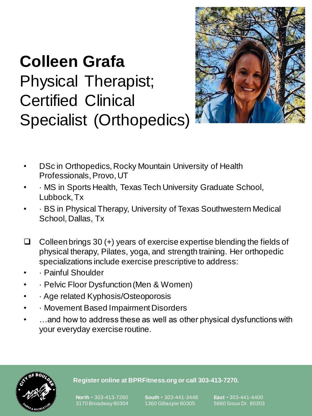# **Colleen Grafa** Physical Therapist; Certified Clinical Specialist (Orthopedics)



- DSc in Orthopedics, Rocky Mountain University of Health Professionals, Provo, UT
- · MS in Sports Health, Texas Tech University Graduate School, Lubbock, Tx
- · BS in Physical Therapy, University of Texas Southwestern Medical School, Dallas, Tx
- ❑ Colleen brings 30 (+) years of exercise expertise blending the fields of physical therapy, Pilates, yoga, and strength training. Her orthopedic specializations include exercise prescriptive to address:
- · Painful Shoulder
- · Pelvic Floor Dysfunction (Men & Women)
- · Age related Kyphosis/Osteoporosis
- · Movement Based Impairment Disorders
- ...and how to address these as well as other physical dysfunctions with your everyday exercise routine.



#### **Register online at BPRFitness.org or call 303-413-7270.**

3170 Broadway 80304

**South** • 303-441-3448 1360 Gillaspie 80305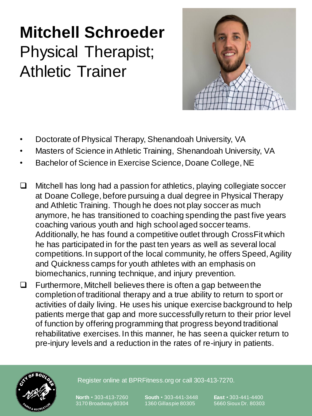# **Mitchell Schroeder** Physical Therapist; Athletic Trainer



- Doctorate of Physical Therapy, Shenandoah University, VA
- Masters of Science in Athletic Training, Shenandoah University, VA
- Bachelor of Science in Exercise Science, Doane College, NE
- ❑ Mitchell has long had a passion for athletics, playing collegiate soccer at Doane College, before pursuing a dual degree in Physical Therapy and Athletic Training. Though he does not play soccer as much anymore, he has transitioned to coaching spending the past five years coaching various youth and high school aged soccer teams. Additionally, he has found a competitive outlet through CrossFit which he has participated in for the past ten years as well as several local competitions. In support of the local community, he offers Speed, Agility and Quickness camps for youth athletes with an emphasis on biomechanics, running technique, and injury prevention.
- ❑ Furthermore, Mitchell believes there is often a gap between the completion of traditional therapy and a true ability to return to sport or activities of daily living. He uses his unique exercise background to help patients merge that gap and more successfully return to their prior level of function by offering programming that progress beyond traditional rehabilitative exercises. In this manner, he has seen a quicker return to pre-injury levels and a reduction in the rates of re-injury in patients.



Register online at BPRFitness.org or call 303-413-7270.

**North** • 303-413-7260 3170 Broadway 80304 **South** • 303-441-3448 1360 Gillaspie 80305